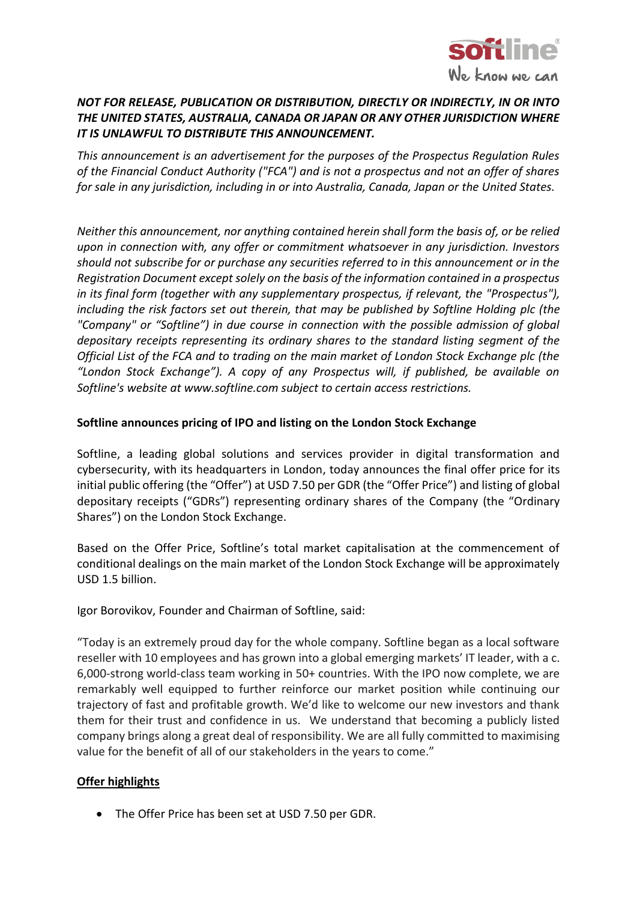

# *NOT FOR RELEASE, PUBLICATION OR DISTRIBUTION, DIRECTLY OR INDIRECTLY, IN OR INTO THE UNITED STATES, AUSTRALIA, CANADA OR JAPAN OR ANY OTHER JURISDICTION WHERE IT IS UNLAWFUL TO DISTRIBUTE THIS ANNOUNCEMENT.*

*This announcement is an advertisement for the purposes of the Prospectus Regulation Rules of the Financial Conduct Authority ("FCA") and is not a prospectus and not an offer of shares for sale in any jurisdiction, including in or into Australia, Canada, Japan or the United States.* 

*Neither this announcement, nor anything contained herein shall form the basis of, or be relied upon in connection with, any offer or commitment whatsoever in any jurisdiction. Investors should not subscribe for or purchase any securities referred to in this announcement or in the Registration Document except solely on the basis of the information contained in a prospectus in its final form (together with any supplementary prospectus, if relevant, the "Prospectus"), including the risk factors set out therein, that may be published by Softline Holding plc (the "Company" or "Softline") in due course in connection with the possible admission of global depositary receipts representing its ordinary shares to the standard listing segment of the Official List of the FCA and to trading on the main market of London Stock Exchange plc (the "London Stock Exchange"). A copy of any Prospectus will, if published, be available on Softline's website at www.softline.com subject to certain access restrictions.*

#### **Softline announces pricing of IPO and listing on the London Stock Exchange**

Softline, a leading global solutions and services provider in digital transformation and cybersecurity, with its headquarters in London, today announces the final offer price for its initial public offering (the "Offer") at USD 7.50 per GDR (the "Offer Price") and listing of global depositary receipts ("GDRs") representing ordinary shares of the Company (the "Ordinary Shares") on the London Stock Exchange.

Based on the Offer Price, Softline's total market capitalisation at the commencement of conditional dealings on the main market of the London Stock Exchange will be approximately USD 1.5 billion.

Igor Borovikov, Founder and Chairman of Softline, said:

"Today is an extremely proud day for the whole company. Softline began as a local software reseller with 10 employees and has grown into a global emerging markets' IT leader, with a c. 6,000-strong world-class team working in 50+ countries. With the IPO now complete, we are remarkably well equipped to further reinforce our market position while continuing our trajectory of fast and profitable growth. We'd like to welcome our new investors and thank them for their trust and confidence in us. We understand that becoming a publicly listed company brings along a great deal of responsibility. We are all fully committed to maximising value for the benefit of all of our stakeholders in the years to come."

## **Offer highlights**

• The Offer Price has been set at USD 7.50 per GDR.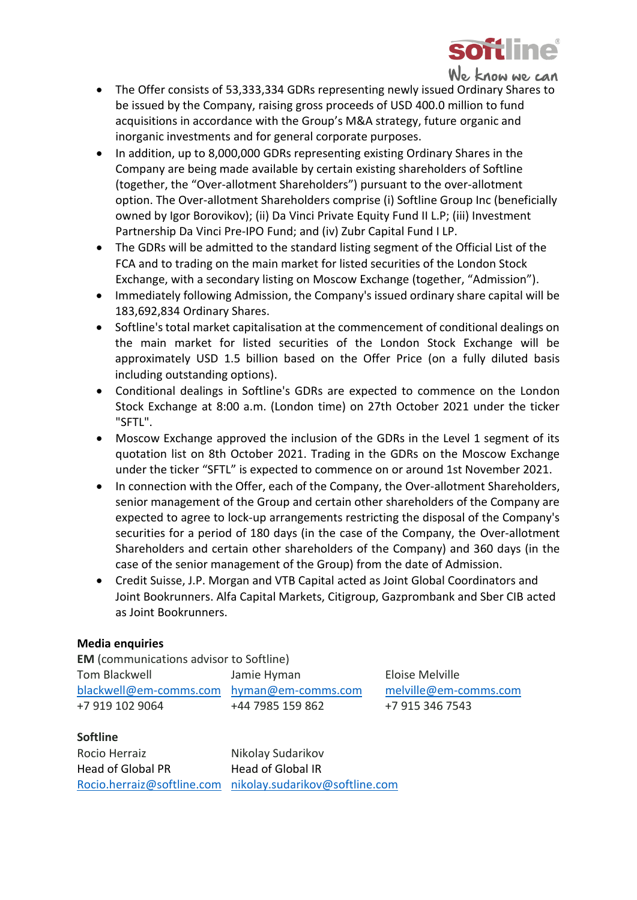

We know we can

- The Offer consists of 53,333,334 GDRs representing newly issued Ordinary Shares to be issued by the Company, raising gross proceeds of USD 400.0 million to fund acquisitions in accordance with the Group's M&A strategy, future organic and inorganic investments and for general corporate purposes.
- In addition, up to 8,000,000 GDRs representing existing Ordinary Shares in the Company are being made available by certain existing shareholders of Softline (together, the "Over-allotment Shareholders") pursuant to the over-allotment option. The Over-allotment Shareholders comprise (i) Softline Group Inc (beneficially owned by Igor Borovikov); (ii) Da Vinci Private Equity Fund II L.P; (iii) Investment Partnership Da Vinci Pre-IPO Fund; and (iv) Zubr Capital Fund I LP.
- The GDRs will be admitted to the standard listing segment of the Official List of the FCA and to trading on the main market for listed securities of the London Stock Exchange, with a secondary listing on Moscow Exchange (together, "Admission").
- Immediately following Admission, the Company's issued ordinary share capital will be 183,692,834 Ordinary Shares.
- Softline's total market capitalisation at the commencement of conditional dealings on the main market for listed securities of the London Stock Exchange will be approximately USD 1.5 billion based on the Offer Price (on a fully diluted basis including outstanding options).
- Conditional dealings in Softline's GDRs are expected to commence on the London Stock Exchange at 8:00 a.m. (London time) on 27th October 2021 under the ticker "SFTL".
- Moscow Exchange approved the inclusion of the GDRs in the Level 1 segment of its quotation list on 8th October 2021. Trading in the GDRs on the Moscow Exchange under the ticker "SFTL" is expected to commence on or around 1st November 2021.
- In connection with the Offer, each of the Company, the Over-allotment Shareholders, senior management of the Group and certain other shareholders of the Company are expected to agree to lock-up arrangements restricting the disposal of the Company's securities for a period of 180 days (in the case of the Company, the Over-allotment Shareholders and certain other shareholders of the Company) and 360 days (in the case of the senior management of the Group) from the date of Admission.
- Credit Suisse, J.P. Morgan and VTB Capital acted as Joint Global Coordinators and Joint Bookrunners. Alfa Capital Markets, Citigroup, Gazprombank and Sber CIB acted as Joint Bookrunners.

## **Media enquiries**

**EM** (communications advisor to Softline) Tom Blackwell Jamie Hyman Eloise Melville [blackwell@em-comms.com](mailto:blackwell@em-comms.com) [hyman@em-comms.com](mailto:hyman@em-comms.com) [melville@em-comms.com](mailto:melville@em-comms.com) +7 919 102 9064 +44 7985 159 862 +7 915 346 7543

#### **Softline**

Rocio Herraiz Nikolay Sudarikov Head of Global PR Head of Global IR [Rocio.herraiz@softline.com](mailto:Rocio.herraiz@softline.com) [nikolay.sudarikov@softline.com](mailto:nikolay.sudarikov@softline.com)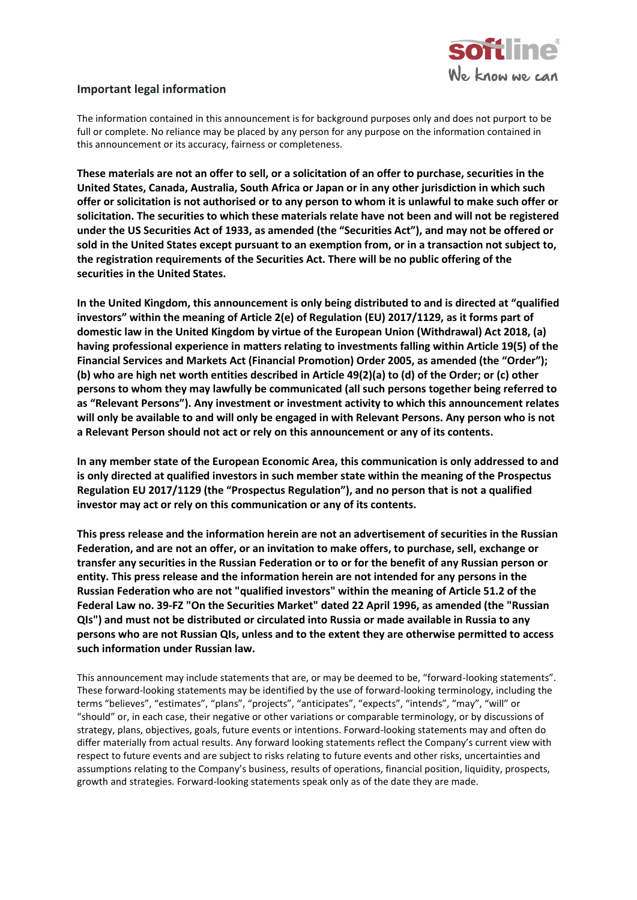

#### **Important legal information**

The information contained in this announcement is for background purposes only and does not purport to be full or complete. No reliance may be placed by any person for any purpose on the information contained in this announcement or its accuracy, fairness or completeness.

**These materials are not an offer to sell, or a solicitation of an offer to purchase, securities in the United States, Canada, Australia, South Africa or Japan or in any other jurisdiction in which such offer or solicitation is not authorised or to any person to whom it is unlawful to make such offer or solicitation. The securities to which these materials relate have not been and will not be registered under the US Securities Act of 1933, as amended (the "Securities Act"), and may not be offered or sold in the United States except pursuant to an exemption from, or in a transaction not subject to, the registration requirements of the Securities Act. There will be no public offering of the securities in the United States.**

**In the United Kingdom, this announcement is only being distributed to and is directed at "qualified investors" within the meaning of Article 2(e) of Regulation (EU) 2017/1129, as it forms part of domestic law in the United Kingdom by virtue of the European Union (Withdrawal) Act 2018, (a) having professional experience in matters relating to investments falling within Article 19(5) of the Financial Services and Markets Act (Financial Promotion) Order 2005, as amended (the "Order"); (b) who are high net worth entities described in Article 49(2)(a) to (d) of the Order; or (c) other persons to whom they may lawfully be communicated (all such persons together being referred to as "Relevant Persons"). Any investment or investment activity to which this announcement relates will only be available to and will only be engaged in with Relevant Persons. Any person who is not a Relevant Person should not act or rely on this announcement or any of its contents.**

**In any member state of the European Economic Area, this communication is only addressed to and is only directed at qualified investors in such member state within the meaning of the Prospectus Regulation EU 2017/1129 (the "Prospectus Regulation"), and no person that is not a qualified investor may act or rely on this communication or any of its contents.**

**This press release and the information herein are not an advertisement of securities in the Russian Federation, and are not an offer, or an invitation to make offers, to purchase, sell, exchange or transfer any securities in the Russian Federation or to or for the benefit of any Russian person or entity. This press release and the information herein are not intended for any persons in the Russian Federation who are not "qualified investors" within the meaning of Article 51.2 of the Federal Law no. 39-FZ "On the Securities Market" dated 22 April 1996, as amended (the "Russian QIs") and must not be distributed or circulated into Russia or made available in Russia to any persons who are not Russian QIs, unless and to the extent they are otherwise permitted to access such information under Russian law.**

This announcement may include statements that are, or may be deemed to be, "forward-looking statements". These forward-looking statements may be identified by the use of forward-looking terminology, including the terms "believes", "estimates", "plans", "projects", "anticipates", "expects", "intends", "may", "will" or "should" or, in each case, their negative or other variations or comparable terminology, or by discussions of strategy, plans, objectives, goals, future events or intentions. Forward-looking statements may and often do differ materially from actual results. Any forward looking statements reflect the Company's current view with respect to future events and are subject to risks relating to future events and other risks, uncertainties and assumptions relating to the Company's business, results of operations, financial position, liquidity, prospects, growth and strategies. Forward-looking statements speak only as of the date they are made.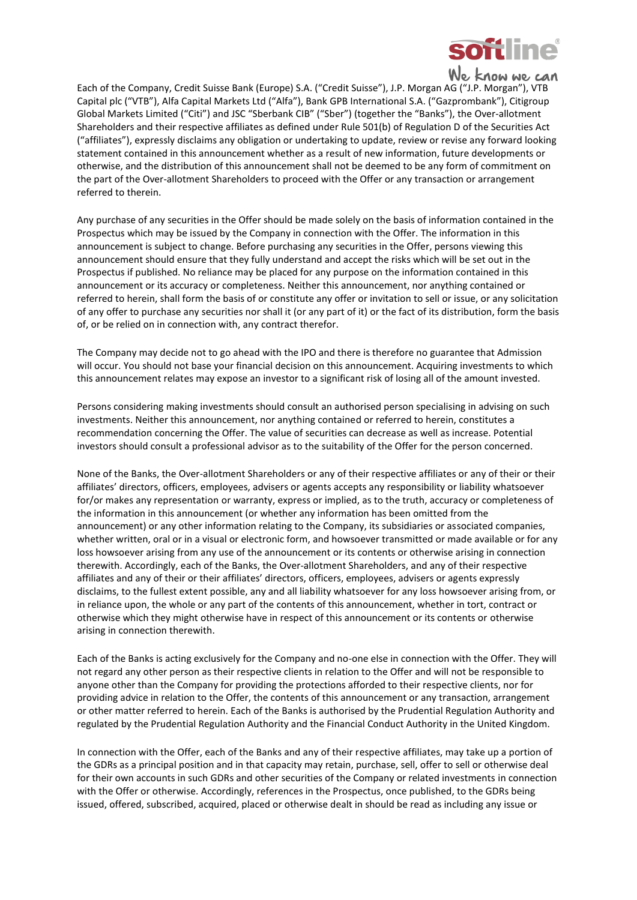

Each of the Company, Credit Suisse Bank (Europe) S.A. ("Credit Suisse"), J.P. Morgan AG ("J.P. Morgan"), VTB Capital plc ("VTB"), Alfa Capital Markets Ltd ("Alfa"), Bank GPB International S.A. ("Gazprombank"), Citigroup Global Markets Limited ("Citi") and JSC "Sberbank CIB" ("Sber") (together the "Banks"), the Over-allotment Shareholders and their respective affiliates as defined under Rule 501(b) of Regulation D of the Securities Act ("affiliates"), expressly disclaims any obligation or undertaking to update, review or revise any forward looking statement contained in this announcement whether as a result of new information, future developments or otherwise, and the distribution of this announcement shall not be deemed to be any form of commitment on the part of the Over-allotment Shareholders to proceed with the Offer or any transaction or arrangement referred to therein.

Any purchase of any securities in the Offer should be made solely on the basis of information contained in the Prospectus which may be issued by the Company in connection with the Offer. The information in this announcement is subject to change. Before purchasing any securities in the Offer, persons viewing this announcement should ensure that they fully understand and accept the risks which will be set out in the Prospectus if published. No reliance may be placed for any purpose on the information contained in this announcement or its accuracy or completeness. Neither this announcement, nor anything contained or referred to herein, shall form the basis of or constitute any offer or invitation to sell or issue, or any solicitation of any offer to purchase any securities nor shall it (or any part of it) or the fact of its distribution, form the basis of, or be relied on in connection with, any contract therefor.

The Company may decide not to go ahead with the IPO and there is therefore no guarantee that Admission will occur. You should not base your financial decision on this announcement. Acquiring investments to which this announcement relates may expose an investor to a significant risk of losing all of the amount invested.

Persons considering making investments should consult an authorised person specialising in advising on such investments. Neither this announcement, nor anything contained or referred to herein, constitutes a recommendation concerning the Offer. The value of securities can decrease as well as increase. Potential investors should consult a professional advisor as to the suitability of the Offer for the person concerned.

None of the Banks, the Over-allotment Shareholders or any of their respective affiliates or any of their or their affiliates' directors, officers, employees, advisers or agents accepts any responsibility or liability whatsoever for/or makes any representation or warranty, express or implied, as to the truth, accuracy or completeness of the information in this announcement (or whether any information has been omitted from the announcement) or any other information relating to the Company, its subsidiaries or associated companies, whether written, oral or in a visual or electronic form, and howsoever transmitted or made available or for any loss howsoever arising from any use of the announcement or its contents or otherwise arising in connection therewith. Accordingly, each of the Banks, the Over-allotment Shareholders, and any of their respective affiliates and any of their or their affiliates' directors, officers, employees, advisers or agents expressly disclaims, to the fullest extent possible, any and all liability whatsoever for any loss howsoever arising from, or in reliance upon, the whole or any part of the contents of this announcement, whether in tort, contract or otherwise which they might otherwise have in respect of this announcement or its contents or otherwise arising in connection therewith.

Each of the Banks is acting exclusively for the Company and no-one else in connection with the Offer. They will not regard any other person as their respective clients in relation to the Offer and will not be responsible to anyone other than the Company for providing the protections afforded to their respective clients, nor for providing advice in relation to the Offer, the contents of this announcement or any transaction, arrangement or other matter referred to herein. Each of the Banks is authorised by the Prudential Regulation Authority and regulated by the Prudential Regulation Authority and the Financial Conduct Authority in the United Kingdom.

In connection with the Offer, each of the Banks and any of their respective affiliates, may take up a portion of the GDRs as a principal position and in that capacity may retain, purchase, sell, offer to sell or otherwise deal for their own accounts in such GDRs and other securities of the Company or related investments in connection with the Offer or otherwise. Accordingly, references in the Prospectus, once published, to the GDRs being issued, offered, subscribed, acquired, placed or otherwise dealt in should be read as including any issue or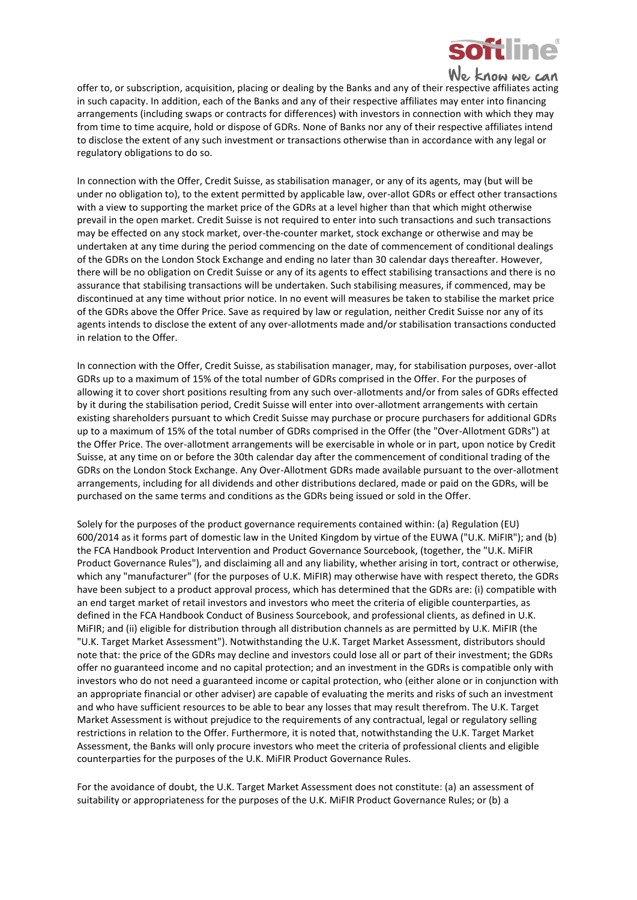

**We know we can**<br>offer to, or subscription, acquisition, placing or dealing by the Banks and any of their respective affiliates acting in such capacity. In addition, each of the Banks and any of their respective affiliates may enter into financing arrangements (including swaps or contracts for differences) with investors in connection with which they may from time to time acquire, hold or dispose of GDRs. None of Banks nor any of their respective affiliates intend to disclose the extent of any such investment or transactions otherwise than in accordance with any legal or regulatory obligations to do so.

In connection with the Offer, Credit Suisse, as stabilisation manager, or any of its agents, may (but will be under no obligation to), to the extent permitted by applicable law, over-allot GDRs or effect other transactions with a view to supporting the market price of the GDRs at a level higher than that which might otherwise prevail in the open market. Credit Suisse is not required to enter into such transactions and such transactions may be effected on any stock market, over-the-counter market, stock exchange or otherwise and may be undertaken at any time during the period commencing on the date of commencement of conditional dealings of the GDRs on the London Stock Exchange and ending no later than 30 calendar days thereafter. However, there will be no obligation on Credit Suisse or any of its agents to effect stabilising transactions and there is no assurance that stabilising transactions will be undertaken. Such stabilising measures, if commenced, may be discontinued at any time without prior notice. In no event will measures be taken to stabilise the market price of the GDRs above the Offer Price. Save as required by law or regulation, neither Credit Suisse nor any of its agents intends to disclose the extent of any over-allotments made and/or stabilisation transactions conducted in relation to the Offer.

In connection with the Offer, Credit Suisse, as stabilisation manager, may, for stabilisation purposes, over-allot GDRs up to a maximum of 15% of the total number of GDRs comprised in the Offer. For the purposes of allowing it to cover short positions resulting from any such over-allotments and/or from sales of GDRs effected by it during the stabilisation period, Credit Suisse will enter into over-allotment arrangements with certain existing shareholders pursuant to which Credit Suisse may purchase or procure purchasers for additional GDRs up to a maximum of 15% of the total number of GDRs comprised in the Offer (the "Over-Allotment GDRs") at the Offer Price. The over-allotment arrangements will be exercisable in whole or in part, upon notice by Credit Suisse, at any time on or before the 30th calendar day after the commencement of conditional trading of the GDRs on the London Stock Exchange. Any Over-Allotment GDRs made available pursuant to the over-allotment arrangements, including for all dividends and other distributions declared, made or paid on the GDRs, will be purchased on the same terms and conditions as the GDRs being issued or sold in the Offer.

Solely for the purposes of the product governance requirements contained within: (a) Regulation (EU) 600/2014 as it forms part of domestic law in the United Kingdom by virtue of the EUWA ("U.K. MiFIR"); and (b) the FCA Handbook Product Intervention and Product Governance Sourcebook, (together, the "U.K. MiFIR Product Governance Rules"), and disclaiming all and any liability, whether arising in tort, contract or otherwise, which any "manufacturer" (for the purposes of U.K. MiFIR) may otherwise have with respect thereto, the GDRs have been subject to a product approval process, which has determined that the GDRs are: (i) compatible with an end target market of retail investors and investors who meet the criteria of eligible counterparties, as defined in the FCA Handbook Conduct of Business Sourcebook, and professional clients, as defined in U.K. MiFIR; and (ii) eligible for distribution through all distribution channels as are permitted by U.K. MiFIR (the "U.K. Target Market Assessment"). Notwithstanding the U.K. Target Market Assessment, distributors should note that: the price of the GDRs may decline and investors could lose all or part of their investment; the GDRs offer no guaranteed income and no capital protection; and an investment in the GDRs is compatible only with investors who do not need a guaranteed income or capital protection, who (either alone or in conjunction with an appropriate financial or other adviser) are capable of evaluating the merits and risks of such an investment and who have sufficient resources to be able to bear any losses that may result therefrom. The U.K. Target Market Assessment is without prejudice to the requirements of any contractual, legal or regulatory selling restrictions in relation to the Offer. Furthermore, it is noted that, notwithstanding the U.K. Target Market Assessment, the Banks will only procure investors who meet the criteria of professional clients and eligible counterparties for the purposes of the U.K. MiFIR Product Governance Rules.

For the avoidance of doubt, the U.K. Target Market Assessment does not constitute: (a) an assessment of suitability or appropriateness for the purposes of the U.K. MiFIR Product Governance Rules; or (b) a